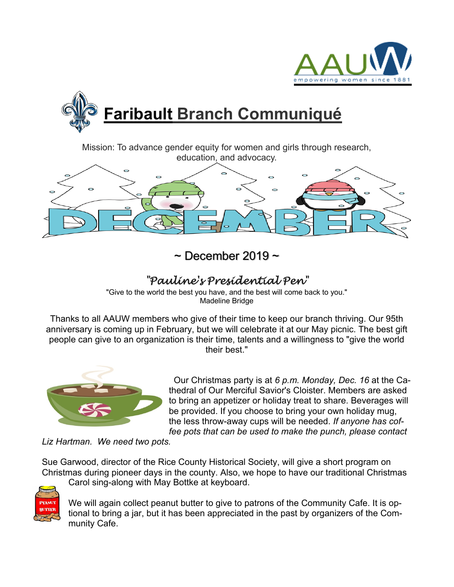



Mission: To advance gender equity for women and girls through research, education, and advocacy.



 $\sim$  December 2019  $\sim$ 

## *"Pauline's Presidential Pen"*

"Give to the world the best you have, and the best will come back to you." Madeline Bridge

Thanks to all AAUW members who give of their time to keep our branch thriving. Our 95th anniversary is coming up in February, but we will celebrate it at our May picnic. The best gift people can give to an organization is their time, talents and a willingness to "give the world their best."



 Our Christmas party is at *6 p.m. Monday, Dec. 16* at the Cathedral of Our Merciful Savior's Cloister. Members are asked to bring an appetizer or holiday treat to share. Beverages will be provided. If you choose to bring your own holiday mug, the less throw-away cups will be needed. *If anyone has coffee pots that can be used to make the punch, please contact*

*Liz Hartman. We need two pots.*

Carol sing-along with May Bottke at keyboard.

Sue Garwood, director of the Rice County Historical Society, will give a short program on Christmas during pioneer days in the county. Also, we hope to have our traditional Christmas



We will again collect peanut butter to give to patrons of the Community Cafe. It is optional to bring a jar, but it has been appreciated in the past by organizers of the Community Cafe.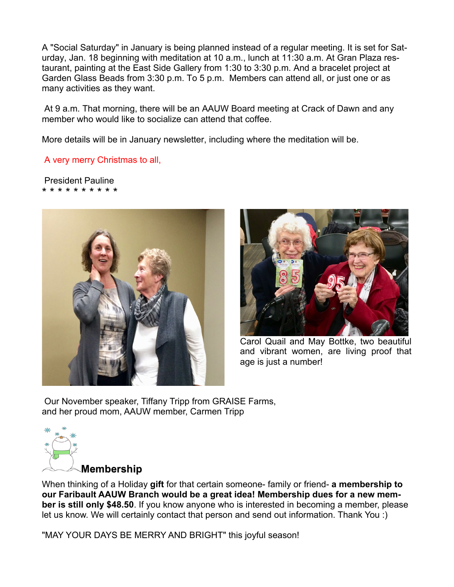A "Social Saturday" in January is being planned instead of a regular meeting. It is set for Saturday, Jan. 18 beginning with meditation at 10 a.m., lunch at 11:30 a.m. At Gran Plaza restaurant, painting at the East Side Gallery from 1:30 to 3:30 p.m. And a bracelet project at Garden Glass Beads from 3:30 p.m. To 5 p.m. Members can attend all, or just one or as many activities as they want.

At 9 a.m. That morning, there will be an AAUW Board meeting at Crack of Dawn and any member who would like to socialize can attend that coffee.

More details will be in January newsletter, including where the meditation will be.

A very merry Christmas to all,

President Pauline \* \* \* \* \* \* \* \* \* \*





Carol Quail and May Bottke, two beautiful and vibrant women, are living proof that age is just a number!

Our November speaker, Tiffany Tripp from GRAISE Farms, and her proud mom, AAUW member, Carmen Tripp



**Membership** 

When thinking of a Holiday **gift** for that certain someone- family or friend- **a membership to our Faribault AAUW Branch would be a great idea! Membership dues for a new member is still only \$48.50**. If you know anyone who is interested in becoming a member, please let us know. We will certainly contact that person and send out information. Thank You :)

"MAY YOUR DAYS BE MERRY AND BRIGHT" this joyful season!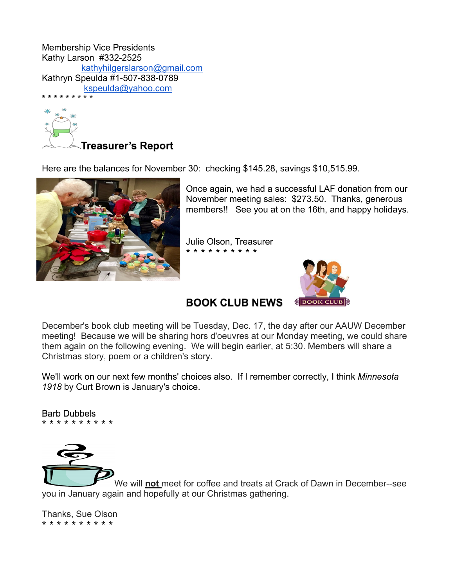Membership Vice Presidents Kathy Larson #332-2525 kathyhilgerslarson@gmail.com Kathryn Speulda #1-507-838-0789 kspeulda@yahoo.com



Here are the balances for November 30: checking \$145.28, savings \$10,515.99.



Once again, we had a successful LAF donation from our November meeting sales: \$273.50. Thanks, generous members!! See you at on the 16th, and happy holidays.

Julie Olson, Treasurer \* \* \* \* \* \* \* \* \* \*



**BOOK CLUB NEWS** 

December's book club meeting will be Tuesday, Dec. 17, the day after our AAUW December meeting! Because we will be sharing hors d'oeuvres at our Monday meeting, we could share them again on the following evening. We will begin earlier, at 5:30. Members will share a Christmas story, poem or a children's story.

We'll work on our next few months' choices also. If I remember correctly, I think *Minnesota 1918* by Curt Brown is January's choice.

Barb Dubbels \* \* \* \* \* \* \* \* \* \*



We will **not** meet for coffee and treats at Crack of Dawn in December--see you in January again and hopefully at our Christmas gathering.

Thanks, Sue Olson \* \* \* \* \* \* \* \* \* \*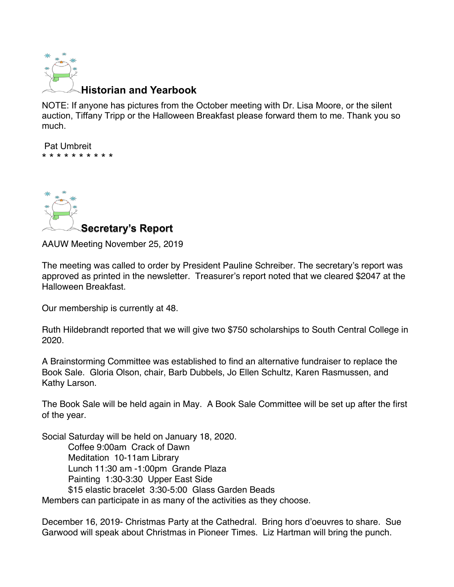

## **Historian and Yearbook**

NOTE: If anyone has pictures from the October meeting with Dr. Lisa Moore, or the silent auction, Tiffany Tripp or the Halloween Breakfast please forward them to me. Thank you so much.

Pat Umbreit \* \* \* \* \* \* \* \* \* \*



AAUW Meeting November 25, 2019

The meeting was called to order by President Pauline Schreiber. The secretary's report was approved as printed in the newsletter. Treasurer's report noted that we cleared \$2047 at the Halloween Breakfast.

Our membership is currently at 48.

Ruth Hildebrandt reported that we will give two \$750 scholarships to South Central College in 2020.

A Brainstorming Committee was established to find an alternative fundraiser to replace the Book Sale. Gloria Olson, chair, Barb Dubbels, Jo Ellen Schultz, Karen Rasmussen, and Kathy Larson.

The Book Sale will be held again in May. A Book Sale Committee will be set up after the first of the year.

Social Saturday will be held on January 18, 2020. Coffee 9:00am Crack of Dawn Meditation 10-11am Library Lunch 11:30 am -1:00pm Grande Plaza Painting 1:30-3:30 Upper East Side \$15 elastic bracelet 3:30-5:00 Glass Garden Beads Members can participate in as many of the activities as they choose.

December 16, 2019- Christmas Party at the Cathedral. Bring hors d'oeuvres to share. Sue Garwood will speak about Christmas in Pioneer Times. Liz Hartman will bring the punch.